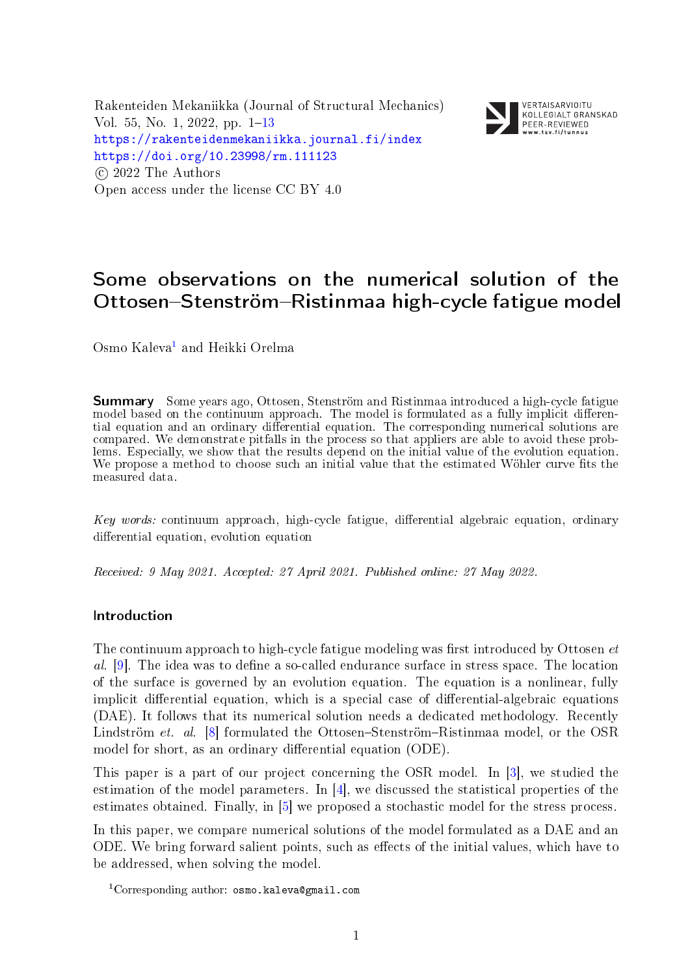Rakenteiden Mekaniikka (Journal of Structural Mechanics) Vol. 55, No. 1, 2022, pp.  $1-13$  $1-13$ <https://rakenteidenmekaniikka.journal.fi/index> <https://doi.org/10.23998/rm.111123>  $(c)$  2022 The Authors Open access under the license CC BY 4.0



VERTAISARVIOITU KOLLEGIALT GRANSKAD PEER-REVIEWED 

# Some observations on the numerical solution of the Ottosen-Stenström-Ristinmaa high-cycle fatigue model

Osmo Kaleva<sup>[1](#page-0-0)</sup> and Heikki Orelma

Summary Some years ago, Ottosen, Stenström and Ristinmaa introduced a high-cycle fatigue model based on the continuum approach. The model is formulated as a fully implicit differential equation and an ordinary differential equation. The corresponding numerical solutions are compared. We demonstrate pitfalls in the process so that appliers are able to avoid these problems. Especially, we show that the results depend on the initial value of the evolution equation. We propose a method to choose such an initial value that the estimated Wöhler curve fits the measured data.

 $Key words:$  continuum approach, high-cycle fatigue, differential algebraic equation, ordinary differential equation, evolution equation

Received: 9 May 2021. Accepted: 27 April 2021. Published online: 27 May 2022.

## Introduction

The continuum approach to high-cycle fatigue modeling was first introduced by Ottosen  $et$  $al.$  [\[9\]](#page-11-0). The idea was to define a so-called endurance surface in stress space. The location of the surface is governed by an evolution equation. The equation is a nonlinear, fully implicit differential equation, which is a special case of differential-algebraic equations (DAE). It follows that its numerical solution needs a dedicated methodology. Recently Lindström et. al.  $[8]$  formulated the Ottosen-Stenström-Ristinmaa model, or the OSR model for short, as an ordinary differential equation (ODE).

This paper is a part of our project concerning the OSR model. In [\[3\]](#page-11-2), we studied the estimation of the model parameters. In  $[4]$ , we discussed the statistical properties of the estimates obtained. Finally, in [\[5\]](#page-11-4) we proposed a stochastic model for the stress process.

In this paper, we compare numerical solutions of the model formulated as a DAE and an ODE. We bring forward salient points, such as effects of the initial values, which have to be addressed, when solving the model.

<span id="page-0-0"></span> $1$ Corresponding author: osmo.kaleva@gmail.com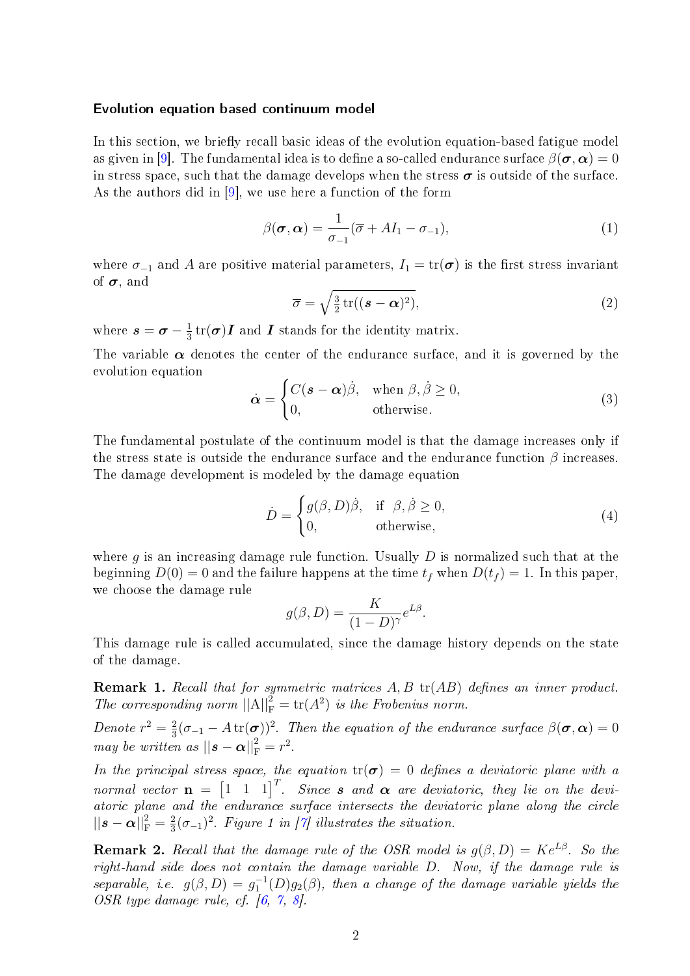#### Evolution equation based continuum model

In this section, we briefly recall basic ideas of the evolution equation-based fatigue model as given in [\[9\]](#page-11-0). The fundamental idea is to define a so-called endurance surface  $\beta(\sigma, \alpha) = 0$ in stress space, such that the damage develops when the stress  $\sigma$  is outside of the surface. As the authors did in [\[9\]](#page-11-0), we use here a function of the form

<span id="page-1-2"></span>
$$
\beta(\boldsymbol{\sigma}, \boldsymbol{\alpha}) = \frac{1}{\sigma_{-1}} (\overline{\sigma} + A I_1 - \sigma_{-1}),
$$
\n(1)

where  $\sigma_{-1}$  and A are positive material parameters,  $I_1 = \text{tr}(\sigma)$  is the first stress invariant of  $\sigma$ , and

$$
\overline{\sigma} = \sqrt{\frac{3}{2} \operatorname{tr}((\boldsymbol{s} - \boldsymbol{\alpha})^2)},\tag{2}
$$

where  $s=\boldsymbol{\sigma}-\frac{1}{3}$  $\frac{1}{3}\operatorname{tr}(\boldsymbol{\sigma})\boldsymbol{I}$  and  $\boldsymbol{I}$  stands for the identity matrix.

The variable  $\alpha$  denotes the center of the endurance surface, and it is governed by the evolution equation

<span id="page-1-1"></span>
$$
\dot{\boldsymbol{\alpha}} = \begin{cases} C(\boldsymbol{s} - \boldsymbol{\alpha})\dot{\beta}, & \text{when } \beta, \dot{\beta} \ge 0, \\ 0, & \text{otherwise.} \end{cases}
$$
(3)

The fundamental postulate of the continuum model is that the damage increases only if the stress state is outside the endurance surface and the endurance function  $\beta$  increases. The damage development is modeled by the damage equation

<span id="page-1-0"></span>
$$
\dot{D} = \begin{cases} g(\beta, D)\dot{\beta}, & \text{if } \beta, \dot{\beta} \ge 0, \\ 0, & \text{otherwise,} \end{cases}
$$
\n(4)

.

where q is an increasing damage rule function. Usually  $D$  is normalized such that at the beginning  $D(0) = 0$  and the failure happens at the time  $t_f$  when  $D(t_f) = 1$ . In this paper, we choose the damage rule

$$
g(\beta, D) = \frac{K}{(1 - D)^{\gamma}} e^{L\beta}
$$

This damage rule is called accumulated, since the damage history depends on the state of the damage.

**Remark 1.** Recall that for symmetric matrices  $A, B$  tr( $AB$ ) defines an inner product. The corresponding norm  $||A||_F^2 = \text{tr}(A^2)$  is the Frobenius norm.

Denote  $r^2 = \frac{2}{3}$  $\frac{2}{3}(\sigma_{-1}-A \operatorname{tr}(\bm{\sigma}))^2$ . Then the equation of the endurance surface  $\beta(\bm{\sigma},\bm{\alpha})=0$ may be written as  $||\mathbf{s} - \boldsymbol{\alpha}||_{\text{F}}^2 = r^2$ .

In the principal stress space, the equation  $tr(\sigma) = 0$  defines a deviatoric plane with a normal vector  $\mathbf{n} = \begin{bmatrix} 1 & 1 & 1 \end{bmatrix}^T$ . Since **s** and  $\boldsymbol{\alpha}$  are deviatoric, they lie on the deviatoric plane and the endurance surface intersects the deviatoric plane along the circle  $\left|\left|s-\boldsymbol{\alpha}\right|\right|_{\text{F}}^2=\frac{2}{3}$  $\frac{2}{3}(\sigma_{-1})^2$ . Figure 1 in [\[7\]](#page-11-5) illustrates the situation.

**Remark 2.** Recall that the damage rule of the OSR model is  $g(\beta, D) = Ke^{L\beta}$ . So the right-hand side does not contain the damage variable D. Now, if the damage rule is separable, i.e.  $g(\beta, D) = g_1^{-1}(D)g_2(\beta)$ , then a change of the damage variable yields the OSR type damage rule, cf. [\[6,](#page-11-6) [7,](#page-11-5) [8\]](#page-11-1).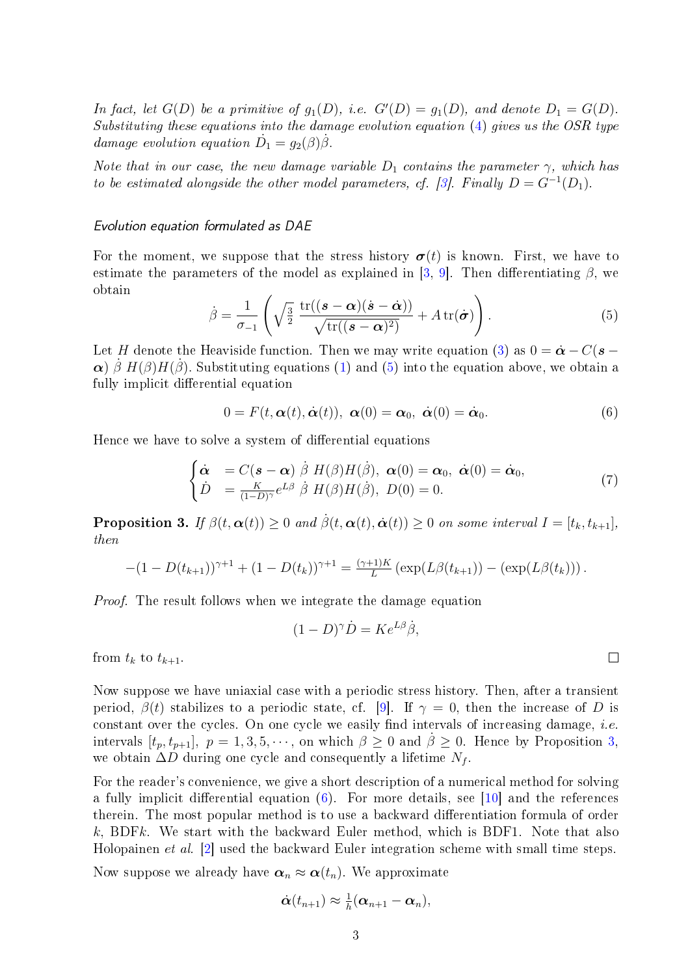In fact, let  $G(D)$  be a primitive of  $g_1(D)$ , i.e.  $G'(D) = g_1(D)$ , and denote  $D_1 = G(D)$ . Substituting these equations into the damage evolution equation [\(4\)](#page-1-0) gives us the OSR type damage evolution equation  $\dot{D}_1 = g_2(\beta)\dot{\beta}$ .

Note that in our case, the new damage variable  $D_1$  contains the parameter  $\gamma$ , which has to be estimated alongside the other model parameters, cf. [\[3\]](#page-11-2). Finally  $D = G^{-1}(D_1)$ .

#### Evolution equation formulated as DAE

For the moment, we suppose that the stress history  $\sigma(t)$  is known. First, we have to estimate the parameters of the model as explained in [\[3,](#page-11-2) [9\]](#page-11-0). Then differentiating  $\beta$ , we obtain

<span id="page-2-0"></span>
$$
\dot{\beta} = \frac{1}{\sigma_{-1}} \left( \sqrt{\frac{3}{2}} \frac{\text{tr}((\boldsymbol{s} - \boldsymbol{\alpha})(\dot{\boldsymbol{s}} - \dot{\boldsymbol{\alpha}}))}{\sqrt{\text{tr}((\boldsymbol{s} - \boldsymbol{\alpha})^2)}} + A \,\text{tr}(\dot{\boldsymbol{\sigma}}) \right).
$$
(5)

Let H denote the Heaviside function. Then we may write equation [\(3\)](#page-1-1) as  $0 = \dot{\alpha} - C(s \alpha$ ) β H(β)H(β). Substituting equations [\(1\)](#page-1-2) and [\(5\)](#page-2-0) into the equation above, we obtain a fully implicit differential equation

<span id="page-2-2"></span>
$$
0 = F(t, \alpha(t), \dot{\alpha}(t)), \ \alpha(0) = \alpha_0, \ \dot{\alpha}(0) = \dot{\alpha}_0. \tag{6}
$$

Hence we have to solve a system of differential equations

<span id="page-2-3"></span>
$$
\begin{cases}\n\dot{\boldsymbol{\alpha}} &= C(\boldsymbol{s} - \boldsymbol{\alpha}) \dot{\boldsymbol{\beta}} H(\boldsymbol{\beta}) H(\dot{\boldsymbol{\beta}}), \ \boldsymbol{\alpha}(0) = \boldsymbol{\alpha}_0, \ \dot{\boldsymbol{\alpha}}(0) = \dot{\boldsymbol{\alpha}}_0, \\
\dot{D} &= \frac{K}{(1 - D)^{\gamma}} e^{L\beta} \dot{\boldsymbol{\beta}} H(\boldsymbol{\beta}) H(\dot{\boldsymbol{\beta}}), \ D(0) = 0.\n\end{cases}
$$
\n(7)

<span id="page-2-1"></span>**Proposition 3.** If  $\beta(t, \alpha(t)) \geq 0$  and  $\dot{\beta}(t, \alpha(t), \dot{\alpha}(t)) \geq 0$  on some interval  $I = [t_k, t_{k+1}],$ then

$$
-(1-D(t_{k+1}))^{\gamma+1}+(1-D(t_k))^{\gamma+1}=\frac{(\gamma+1)K}{L}\left(\exp(L\beta(t_{k+1}))-(\exp(L\beta(t_k))\right).
$$

Proof. The result follows when we integrate the damage equation

$$
(1 - D)^{\gamma} \dot{D} = K e^{L\beta} \dot{\beta},
$$

from  $t_k$  to  $t_{k+1}$ .

Now suppose we have uniaxial case with a periodic stress history. Then, after a transient period,  $\beta(t)$  stabilizes to a periodic state, cf. [\[9\]](#page-11-0). If  $\gamma = 0$ , then the increase of D is constant over the cycles. On one cycle we easily find intervals of increasing damage, *i.e.* intervals  $[t_p, t_{p+1}], p = 1, 3, 5, \cdots$  $[t_p, t_{p+1}], p = 1, 3, 5, \cdots$  $[t_p, t_{p+1}], p = 1, 3, 5, \cdots$ , on which  $\beta \geq 0$  and  $\beta \geq 0$ . Hence by Proposition 3, we obtain  $\Delta D$  during one cycle and consequently a lifetime  $N_f$ .

For the reader's convenience, we give a short description of a numerical method for solving a fully implicit differential equation  $(6)$ . For more details, see [\[10\]](#page-11-7) and the references therein. The most popular method is to use a backward differentiation formula of order k, BDFk. We start with the backward Euler method, which is BDF1. Note that also Holopainen et al. [\[2\]](#page-11-8) used the backward Euler integration scheme with small time steps.

Now suppose we already have  $\alpha_n \approx \alpha(t_n)$ . We approximate

$$
\dot{\boldsymbol{\alpha}}(t_{n+1})\approx \tfrac{1}{h}(\boldsymbol{\alpha}_{n+1}-\boldsymbol{\alpha}_n),
$$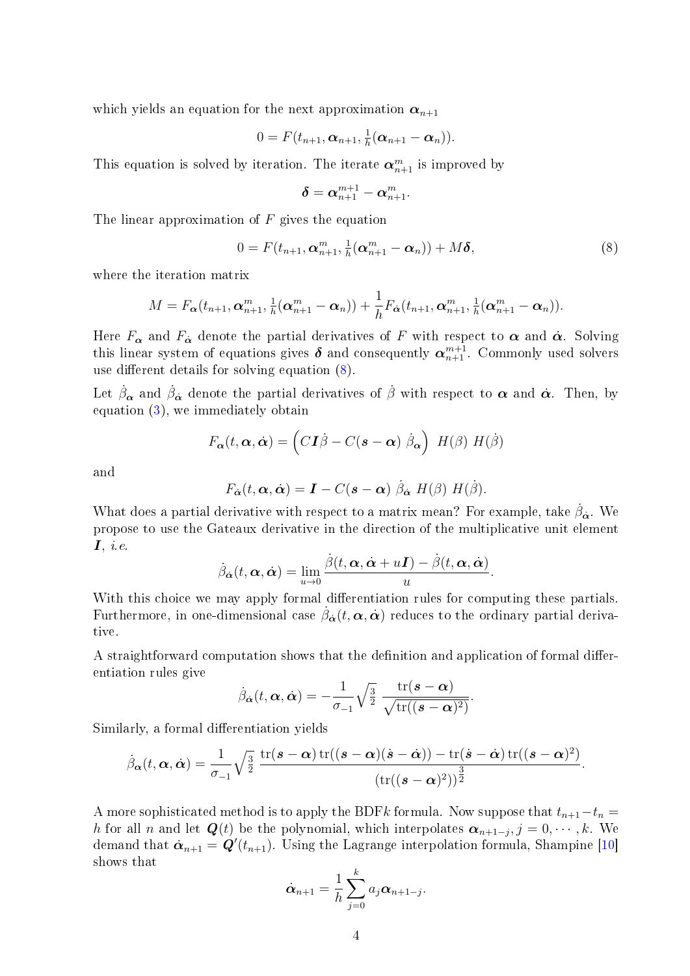which yields an equation for the next approximation  $\alpha_{n+1}$ 

$$
0 = F(t_{n+1}, \boldsymbol{\alpha}_{n+1}, \tfrac{1}{h}(\boldsymbol{\alpha}_{n+1} - \boldsymbol{\alpha}_n)).
$$

This equation is solved by iteration. The iterate  $\boldsymbol{\alpha}_{n+1}^m$  is improved by

$$
\boldsymbol{\delta} = \boldsymbol{\alpha}_{n+1}^{m+1} - \boldsymbol{\alpha}_{n+1}^{m}.
$$

The linear approximation of  $F$  gives the equation

<span id="page-3-0"></span>
$$
0 = F(t_{n+1}, \boldsymbol{\alpha}_{n+1}^m, \tfrac{1}{h}(\boldsymbol{\alpha}_{n+1}^m - \boldsymbol{\alpha}_n)) + M\boldsymbol{\delta},
$$
\n(8)

where the iteration matrix

$$
M = F_{\boldsymbol{\alpha}}(t_{n+1}, \boldsymbol{\alpha}_{n+1}^m, \tfrac{1}{h}(\boldsymbol{\alpha}_{n+1}^m - \boldsymbol{\alpha}_n)) + \frac{1}{h}F_{\boldsymbol{\alpha}}(t_{n+1}, \boldsymbol{\alpha}_{n+1}^m, \tfrac{1}{h}(\boldsymbol{\alpha}_{n+1}^m - \boldsymbol{\alpha}_n)).
$$

Here  $F_{\alpha}$  and  $F_{\dot{\alpha}}$  denote the partial derivatives of F with respect to  $\alpha$  and  $\dot{\alpha}$ . Solving this linear system of equations gives  $\boldsymbol{\delta}$  and consequently  $\boldsymbol{\alpha}_{n+1}^{m+1}$ . Commonly used solvers use different details for solving equation  $(8)$ .

Let  $\dot{\beta}_{\alpha}$  and  $\dot{\beta}_{\dot{\alpha}}$  denote the partial derivatives of  $\dot{\beta}$  with respect to  $\alpha$  and  $\dot{\alpha}$ . Then, by equation [\(3\)](#page-1-1), we immediately obtain

$$
F_{\boldsymbol{\alpha}}(t,\boldsymbol{\alpha},\dot{\boldsymbol{\alpha}})=\left(C\mathbf{I}\dot{\beta}-C(\mathbf{s}-\boldsymbol{\alpha})\dot{\beta}_{\boldsymbol{\alpha}}\right)\;H(\beta)\;H(\dot{\beta})
$$

and

$$
F_{\dot{\boldsymbol{\alpha}}}(t,\boldsymbol{\alpha},\dot{\boldsymbol{\alpha}})=\boldsymbol{I}-C(\boldsymbol{s}-\boldsymbol{\alpha})\hat{\beta}_{\dot{\boldsymbol{\alpha}}}H(\boldsymbol{\beta})H(\boldsymbol{\beta}).
$$

What does a partial derivative with respect to a matrix mean? For example, take  $\dot{\beta}_{\dot{\alpha}}$ . We propose to use the Gateaux derivative in the direction of the multiplicative unit element  $\boldsymbol{I}, i.e.$ 

$$
\dot{\beta}_{\dot{\alpha}}(t,\alpha,\dot{\alpha}) = \lim_{u\to 0} \frac{\dot{\beta}(t,\alpha,\dot{\alpha}+uI) - \dot{\beta}(t,\alpha,\dot{\alpha})}{u}.
$$

With this choice we may apply formal differentiation rules for computing these partials. Furthermore, in one-dimensional case  $\dot{\beta}_{\dot{\alpha}}(t,\alpha,\dot{\alpha})$  reduces to the ordinary partial derivative.

A straightforward computation shows that the definition and application of formal differentiation rules give

$$
\dot{\beta}_{\dot{\boldsymbol{\alpha}}}(t,\boldsymbol{\alpha},\dot{\boldsymbol{\alpha}})=-\frac{1}{\sigma_{-1}}\sqrt{\frac{3}{2}}\;\frac{\mathrm{tr}(\boldsymbol{s}-\boldsymbol{\alpha})}{\sqrt{\mathrm{tr}((\boldsymbol{s}-\boldsymbol{\alpha})^2)}}
$$

.

Similarly, a formal differentiation yields

$$
\dot{\beta}_{\boldsymbol{\alpha}}(t,\boldsymbol{\alpha},\dot{\boldsymbol{\alpha}})=\frac{1}{\sigma_{-1}}\sqrt{\tfrac{3}{2}}\;\frac{\mathrm{tr}(\boldsymbol{s}-\boldsymbol{\alpha})\,\mathrm{tr}((\boldsymbol{s}-\boldsymbol{\alpha})(\dot{\boldsymbol{s}}-\dot{\boldsymbol{\alpha}}))-\mathrm{tr}(\dot{\boldsymbol{s}}-\dot{\boldsymbol{\alpha}})\,\mathrm{tr}((\boldsymbol{s}-\boldsymbol{\alpha})^2)}{(\mathrm{tr}((\boldsymbol{s}-\boldsymbol{\alpha})^2))^{\tfrac{3}{2}}}.
$$

A more sophisticated method is to apply the BDFk formula. Now suppose that  $t_{n+1}-t_n =$ h for all n and let  $Q(t)$  be the polynomial, which interpolates  $\alpha_{n+1-j}, j=0,\cdots,k$ . We demand that  $\dot{\bm{\alpha}}_{n+1} = \bm{Q}'(t_{n+1})$ . Using the Lagrange interpolation formula, Shampine [\[10\]](#page-11-7) shows that

$$
\dot{\boldsymbol{\alpha}}_{n+1} = \frac{1}{h} \sum_{j=0}^{k} a_j \boldsymbol{\alpha}_{n+1-j}.
$$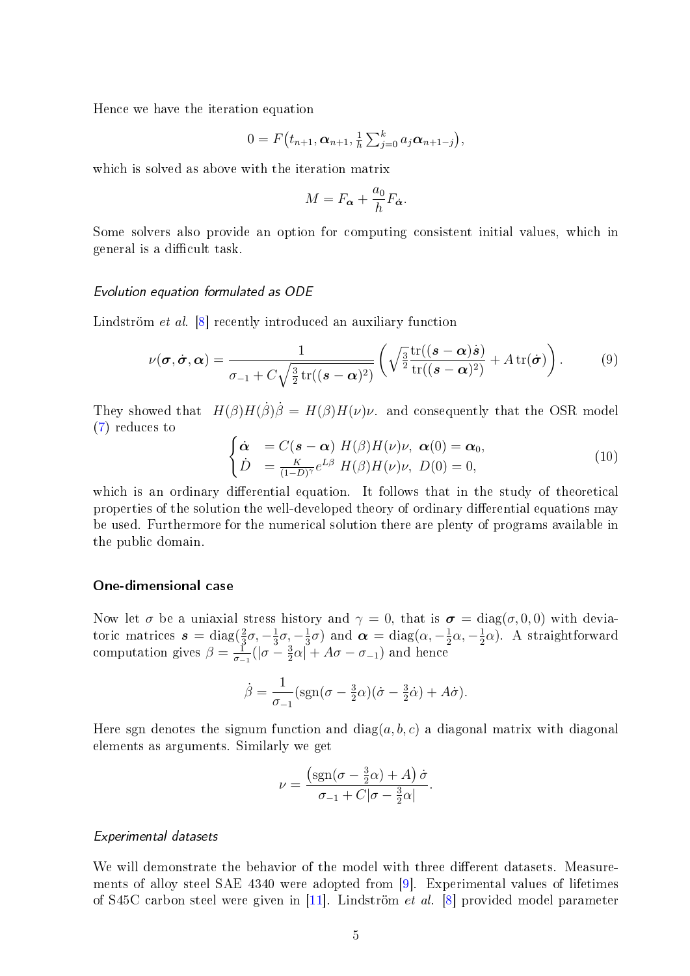Hence we have the iteration equation

$$
0 = F(t_{n+1}, \alpha_{n+1}, \frac{1}{h} \sum_{j=0}^{k} a_j \alpha_{n+1-j}),
$$

which is solved as above with the iteration matrix

$$
M = F_{\alpha} + \frac{a_0}{h} F_{\dot{\alpha}}.
$$

Some solvers also provide an option for computing consistent initial values, which in general is a difficult task.

#### Evolution equation formulated as ODE

Lindström *et al.* [\[8\]](#page-11-1) recently introduced an auxiliary function

$$
\nu(\boldsymbol{\sigma}, \dot{\boldsymbol{\sigma}}, \boldsymbol{\alpha}) = \frac{1}{\sigma_{-1} + C\sqrt{\frac{3}{2}\text{tr}((\boldsymbol{s} - \boldsymbol{\alpha})^2)}} \left( \sqrt{\frac{3}{2}\frac{\text{tr}((\boldsymbol{s} - \boldsymbol{\alpha})\dot{\boldsymbol{s}})}{\text{tr}((\boldsymbol{s} - \boldsymbol{\alpha})^2)}} + A\text{tr}(\dot{\boldsymbol{\sigma}}) \right).
$$
(9)

They showed that  $H(\beta)H(\dot{\beta})\dot{\beta} = H(\beta)H(\nu)\nu$ . and consequently that the OSR model [\(7\)](#page-2-3) reduces to

$$
\begin{cases}\n\dot{\boldsymbol{\alpha}} &= C(\boldsymbol{s} - \boldsymbol{\alpha}) \ H(\boldsymbol{\beta}) H(\boldsymbol{\nu}) \boldsymbol{\nu}, \ \boldsymbol{\alpha}(0) = \boldsymbol{\alpha}_0, \\
\dot{D} &= \frac{K}{(1 - D)^{\gamma}} e^{L\beta} \ H(\boldsymbol{\beta}) H(\boldsymbol{\nu}) \boldsymbol{\nu}, \ D(0) = 0,\n\end{cases}
$$
\n(10)

which is an ordinary differential equation. It follows that in the study of theoretical properties of the solution the well-developed theory of ordinary differential equations may be used. Furthermore for the numerical solution there are plenty of programs available in the public domain.

#### One-dimensional case

Now let  $\sigma$  be a uniaxial stress history and  $\gamma = 0$ , that is  $\sigma = \text{diag}(\sigma, 0, 0)$  with deviatoric matrices  $s = \text{diag}(\frac{2}{3})$  $rac{2}{3}\sigma$ ,  $-\frac{1}{3}$  $\frac{1}{3}\sigma$ ,  $-\frac{1}{3}$  $\frac{1}{3}\sigma$ ) and  $\boldsymbol{\alpha} = \text{diag}(\alpha, -\frac{1}{2})$  $\frac{1}{2}\alpha, -\frac{1}{2}$  $\frac{1}{2}\alpha$ ). A straightforward computation gives  $\beta = \frac{1}{\sigma}$  $\frac{1}{\sigma_{-1}}(|\sigma - \frac{3}{2})$  $\frac{3}{2}\alpha| + A\sigma - \sigma_{-1}$ ) and hence

$$
\dot{\beta} = \frac{1}{\sigma_{-1}} (\text{sgn}(\sigma - \frac{3}{2}\alpha)(\dot{\sigma} - \frac{3}{2}\dot{\alpha}) + A\dot{\sigma}).
$$

Here sgn denotes the signum function and  $diag(a, b, c)$  a diagonal matrix with diagonal elements as arguments. Similarly we get

$$
\nu = \frac{\left(\text{sgn}(\sigma - \frac{3}{2}\alpha) + A\right)\dot{\sigma}}{\sigma_{-1} + C|\sigma - \frac{3}{2}\alpha|}.
$$

## Experimental datasets

We will demonstrate the behavior of the model with three different datasets. Measurements of alloy steel SAE 4340 were adopted from [\[9\]](#page-11-0). Experimental values of lifetimes of S45C carbon steel were given in [\[11\]](#page-11-9). Lindström et al. [\[8\]](#page-11-1) provided model parameter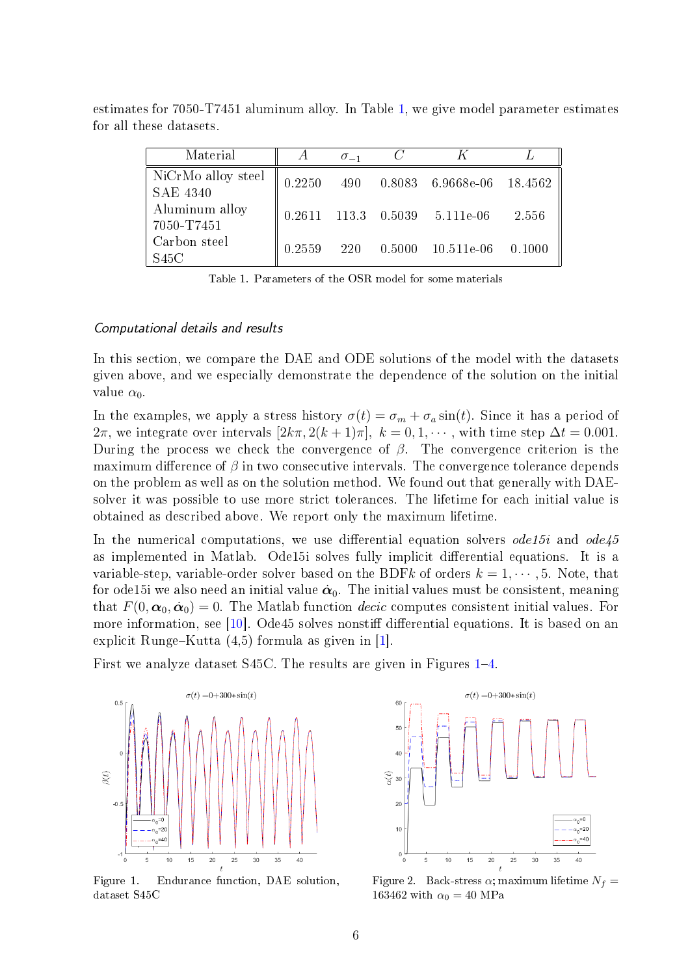| Material                              | A      | $\sigma_{-1}$ |                                   |        |
|---------------------------------------|--------|---------------|-----------------------------------|--------|
| NiCrMo alloy steel<br><b>SAE 4340</b> | 0.2250 |               | 490 0.8083 6.9668e-06 18.4562     |        |
| Aluminum alloy<br>7050-T7451          |        |               | $0.2611$ 113.3 $0.5039$ 5.111e-06 | 2.556  |
| Carbon steel<br>S45C                  | 0.2559 | 220           | $0.5000$ $10.511e-06$             | 0.1000 |

estimates for 7050-T7451 aluminum alloy. In Table [1,](#page-5-0) we give model parameter estimates for all these datasets.

<span id="page-5-0"></span>Table 1. Parameters of the OSR model for some materials

## Computational details and results

In this section, we compare the DAE and ODE solutions of the model with the datasets given above, and we especially demonstrate the dependence of the solution on the initial value  $\alpha_0$ .

In the examples, we apply a stress history  $\sigma(t) = \sigma_m + \sigma_a \sin(t)$ . Since it has a period of  $2\pi$ , we integrate over intervals  $[2k\pi, 2(k+1)\pi]$ ,  $k = 0, 1, \cdots$ , with time step  $\Delta t = 0.001$ . During the process we check the convergence of  $\beta$ . The convergence criterion is the maximum difference of  $\beta$  in two consecutive intervals. The convergence tolerance depends on the problem as well as on the solution method. We found out that generally with DAEsolver it was possible to use more strict tolerances. The lifetime for each initial value is obtained as described above. We report only the maximum lifetime.

In the numerical computations, we use differential equation solvers *ode15i* and  $ode45$ as implemented in Matlab. Ode15i solves fully implicit differential equations. It is a variable-step, variable-order solver based on the BDFk of orders  $k = 1, \dots, 5$ . Note, that for ode15i we also need an initial value  $\dot{\alpha}_0$ . The initial values must be consistent, meaning that  $F(0, \alpha_0, \dot{\alpha}_0) = 0$ . The Matlab function *decic* computes consistent initial values. For more information, see  $[10]$ . Ode45 solves nonstiff differential equations. It is based on an explicit Runge–Kutta  $(4,5)$  formula as given in [\[1\]](#page-11-10).

First we analyze dataset S45C. The results are given in Figures [1](#page-5-1)–[4.](#page-6-0)



<span id="page-5-1"></span>Figure 1. Endurance function, DAE solution, dataset S45C



Figure 2. Back-stress  $\alpha$ ; maximum lifetime  $N_f =$ 163462 with  $\alpha_0 = 40$  MPa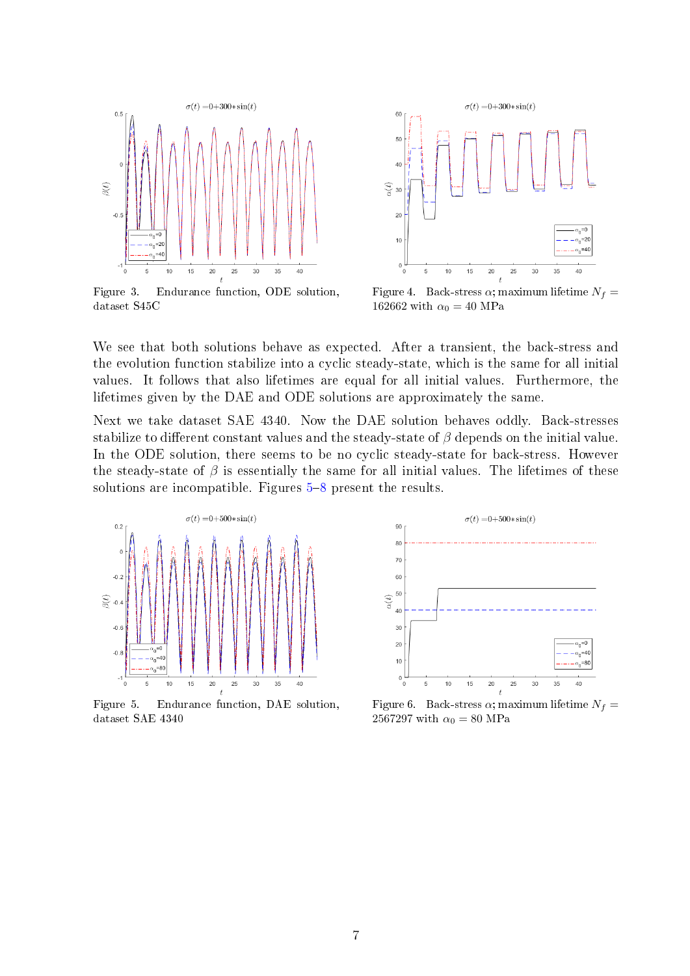

Figure 3. Endurance function, ODE solution, dataset S45C



<span id="page-6-0"></span>Figure 4. Back-stress  $\alpha$ ; maximum lifetime  $N_f =$ 162662 with  $\alpha_0 = 40$  MPa

We see that both solutions behave as expected. After a transient, the back-stress and the evolution function stabilize into a cyclic steady-state, which is the same for all initial values. It follows that also lifetimes are equal for all initial values. Furthermore, the lifetimes given by the DAE and ODE solutions are approximately the same.

Next we take dataset SAE 4340. Now the DAE solution behaves oddly. Back-stresses stabilize to different constant values and the steady-state of  $\beta$  depends on the initial value. In the ODE solution, there seems to be no cyclic steady-state for back-stress. However the steady-state of  $\beta$  is essentially the same for all initial values. The lifetimes of these solutions are incompatible. Figures  $5-8$  $5-8$  $5-8$  present the results.



<span id="page-6-1"></span>Figure 5. Endurance function, DAE solution, dataset SAE 4340



Figure 6. Back-stress  $\alpha$ ; maximum lifetime  $N_f =$ 2567297 with  $\alpha_0 = 80$  MPa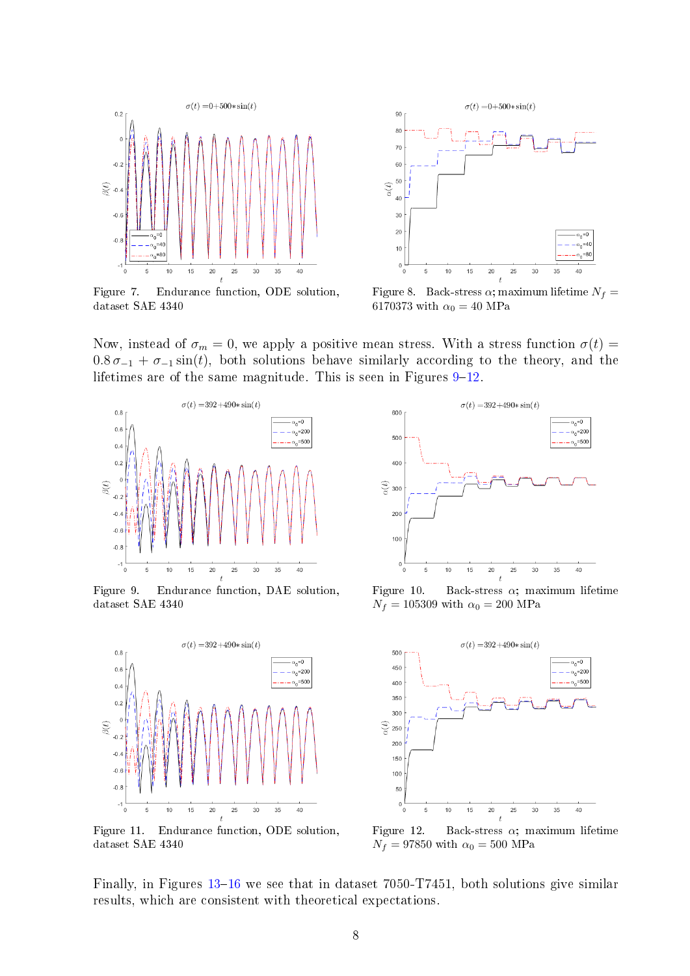

Figure 7. Endurance function, ODE solution, dataset SAE 4340



<span id="page-7-0"></span>Figure 8. Back-stress  $\alpha$ ; maximum lifetime  $N_f =$ 6170373 with  $\alpha_0 = 40$  MPa

Now, instead of  $\sigma_m = 0$ , we apply a positive mean stress. With a stress function  $\sigma(t) =$  $0.8 \sigma_{-1} + \sigma_{-1} \sin(t)$ , both solutions behave similarly according to the theory, and the lifetimes are of the same magnitude. This is seen in Figures  $9-12$  $9-12$ .



<span id="page-7-1"></span>Figure 9. Endurance function, DAE solution, dataset SAE 4340



Figure 11. Endurance function, ODE solution, dataset SAE 4340



Figure 10. Back-stress  $\alpha$ ; maximum lifetime  $N_f = 105309$  with  $\alpha_0 = 200$  MPa



<span id="page-7-2"></span>Figure 12. Back-stress  $\alpha$ ; maximum lifetime  $N_f = 97850$  with  $\alpha_0 = 500$  MPa

Finally, in Figures  $13-16$  $13-16$  $13-16$  we see that in dataset 7050-T7451, both solutions give similar results, which are consistent with theoretical expectations.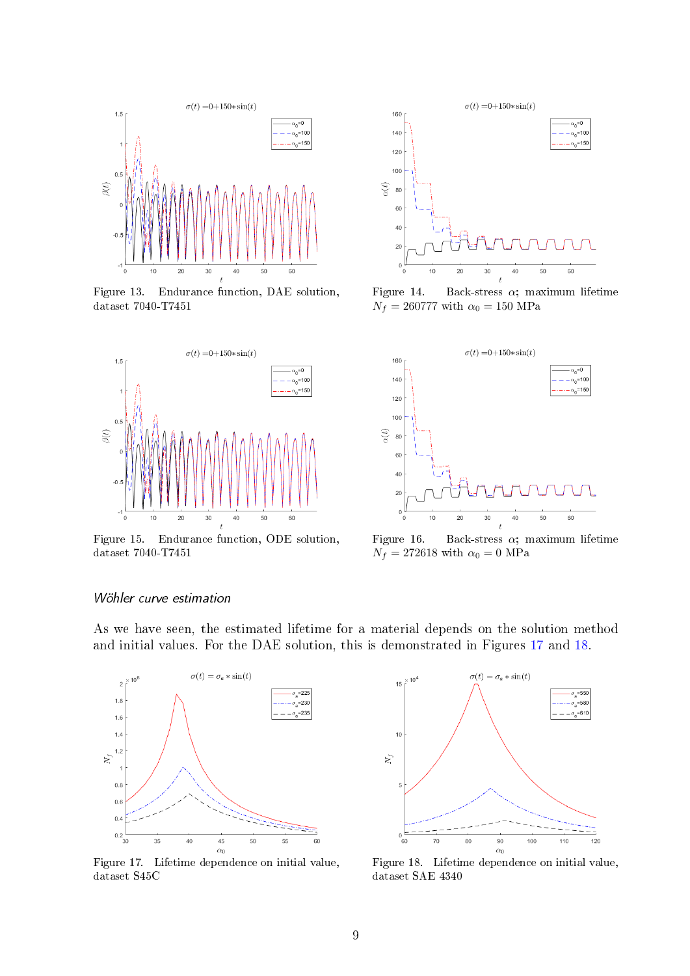

<span id="page-8-0"></span>Figure 13. Endurance function, DAE solution, dataset 7040-T7451



Figure 15. Endurance function, ODE solution, dataset 7040-T7451



Figure 14. Back-stress  $\alpha$ ; maximum lifetime  $N_f=260777$  with  $\alpha_0=150$  MPa



<span id="page-8-1"></span>Figure 16. Back-stress  $\alpha$ ; maximum lifetime  $N_f = 272618$  with  $\alpha_0 = 0$  MPa

### Wöhler curve estimation

As we have seen, the estimated lifetime for a material depends on the solution method and initial values. For the DAE solution, this is demonstrated in Figures [17](#page-8-2) and [18.](#page-8-3)



<span id="page-8-2"></span>Figure 17. Lifetime dependence on initial value, dataset S45C



<span id="page-8-3"></span>Figure 18. Lifetime dependence on initial value, dataset SAE 4340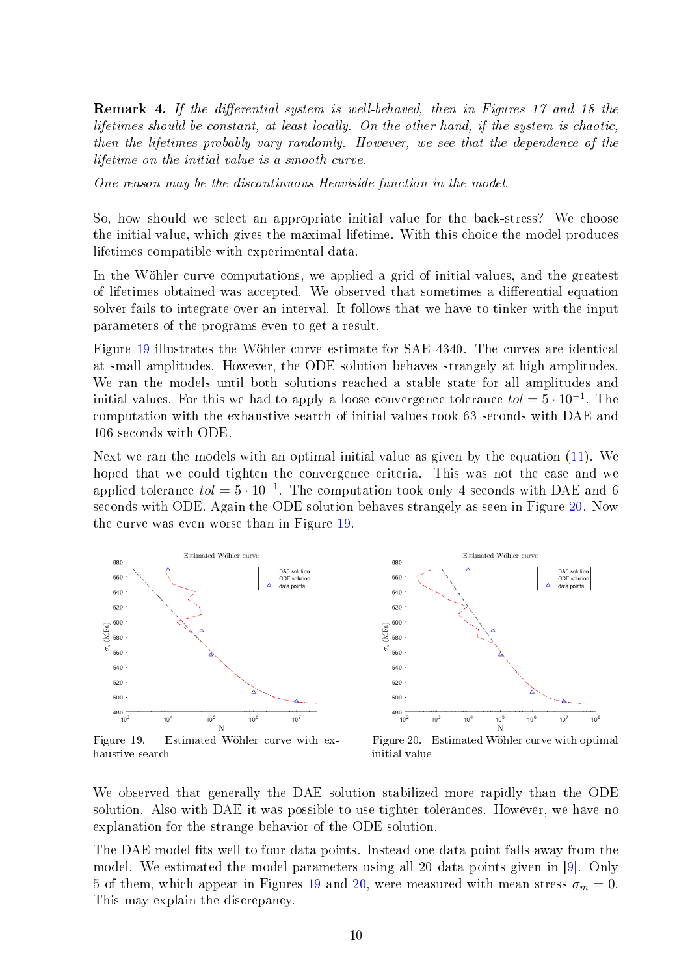**Remark 4.** If the differential system is well-behaved, then in Figures 17 and 18 the lifetimes should be constant, at least locally. On the other hand, if the system is chaotic, then the lifetimes probably vary randomly. However, we see that the dependence of the lifetime on the initial value is a smooth curve.

One reason may be the discontinuous Heaviside function in the model.

So, how should we select an appropriate initial value for the back-stress? We choose the initial value, which gives the maximal lifetime. With this choice the model produces lifetimes compatible with experimental data.

In the Wöhler curve computations, we applied a grid of initial values, and the greatest of lifetimes obtained was accepted. We observed that sometimes a differential equation solver fails to integrate over an interval. It follows that we have to tinker with the input parameters of the programs even to get a result.

Figure [19](#page-9-0) illustrates the Wöhler curve estimate for SAE 4340. The curves are identical at small amplitudes. However, the ODE solution behaves strangely at high amplitudes. We ran the models until both solutions reached a stable state for all amplitudes and initial values. For this we had to apply a loose convergence tolerance  $tol = 5 \cdot 10^{-1}$ . The computation with the exhaustive search of initial values took 63 seconds with DAE and 106 seconds with ODE.

Next we ran the models with an optimal initial value as given by the equation [\(11\)](#page-10-0). We hoped that we could tighten the convergence criteria. This was not the case and we applied tolerance  $tol = 5 \cdot 10^{-1}$ . The computation took only 4 seconds with DAE and 6 seconds with ODE. Again the ODE solution behaves strangely as seen in Figure [20.](#page-9-1) Now the curve was even worse than in Figure [19.](#page-9-0)

680

660



data points 64  $620$ 600  $(MPa)$ 58 r. 560 540 520 500  $480$ <br> $10^{2}$  $10^{3}$  $10<sup>4</sup>$  $\frac{10^5}{N}$  $10<sup>6</sup>$  $10<sup>7</sup>$  $10^8$ 

Estimated Wöhler curve

DAE solution

ODE solution

<span id="page-9-0"></span>Figure 19. Estimated Wöhler curve with exhaustive search

<span id="page-9-1"></span>Figure 20. Estimated Wöhler curve with optimal initial value

We observed that generally the DAE solution stabilized more rapidly than the ODE solution. Also with DAE it was possible to use tighter tolerances. However, we have no explanation for the strange behavior of the ODE solution.

The DAE model fits well to four data points. Instead one data point falls away from the model. We estimated the model parameters using all 20 data points given in [\[9\]](#page-11-0). Only 5 of them, which appear in Figures [19](#page-9-0) and [20,](#page-9-1) were measured with mean stress  $\sigma_m = 0$ . This may explain the discrepancy.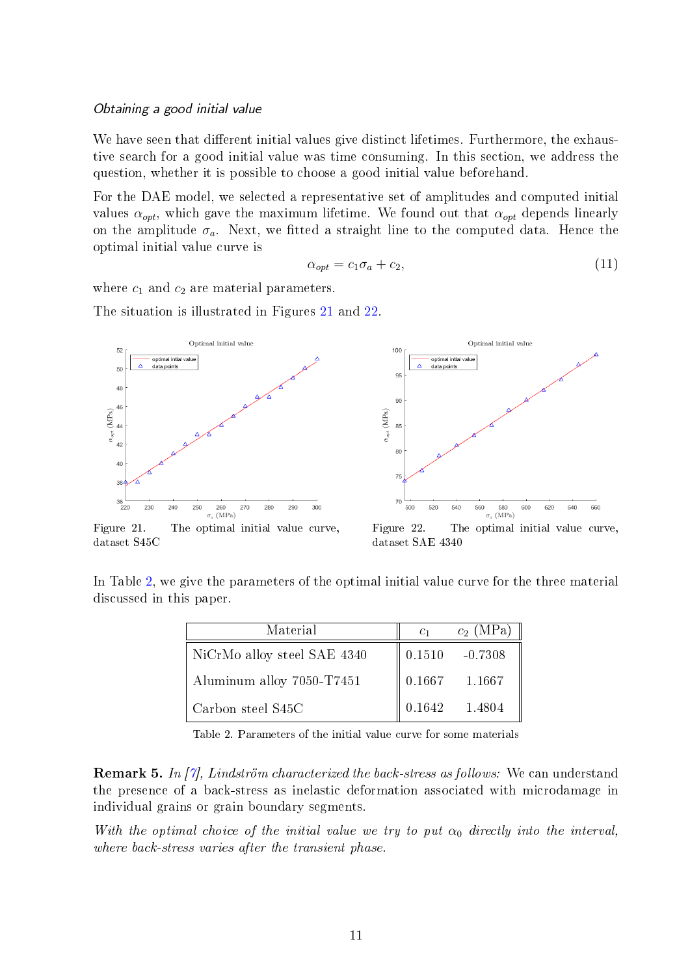#### Obtaining a good initial value

We have seen that different initial values give distinct lifetimes. Furthermore, the exhaustive search for a good initial value was time consuming. In this section, we address the question, whether it is possible to choose a good initial value beforehand.

For the DAE model, we selected a representative set of amplitudes and computed initial values  $\alpha_{opt}$ , which gave the maximum lifetime. We found out that  $\alpha_{opt}$  depends linearly on the amplitude  $\sigma_a$ . Next, we fitted a straight line to the computed data. Hence the optimal initial value curve is

<span id="page-10-0"></span>
$$
\alpha_{opt} = c_1 \sigma_a + c_2,\tag{11}
$$

where  $c_1$  and  $c_2$  are material parameters.

The situation is illustrated in Figures [21](#page-10-1) and [22.](#page-10-2)



<span id="page-10-1"></span>Figure 21. The optimal initial value curve, dataset S45C

<span id="page-10-3"></span><span id="page-10-2"></span>Figure 22. The optimal initial value curve, dataset SAE 4340

In Table [2,](#page-10-3) we give the parameters of the optimal initial value curve for the three material discussed in this paper.

| Material                    | C <sub>1</sub> | $c_2$ (MPa)                 |
|-----------------------------|----------------|-----------------------------|
| NiCrMo alloy steel SAE 4340 |                | $\parallel 0.1510 - 0.7308$ |
| Aluminum alloy 7050-T7451   |                | $\parallel 0.1667 1.1667$   |
| Carbon steel S45C           | 0.1642         | 1.4804                      |

Table 2. Parameters of the initial value curve for some materials

Remark 5. In [\[7\]](#page-11-5), Lindström characterized the back-stress as follows: We can understand the presence of a back-stress as inelastic deformation associated with microdamage in individual grains or grain boundary segments.

With the optimal choice of the initial value we try to put  $\alpha_0$  directly into the interval, where back-stress varies after the transient phase.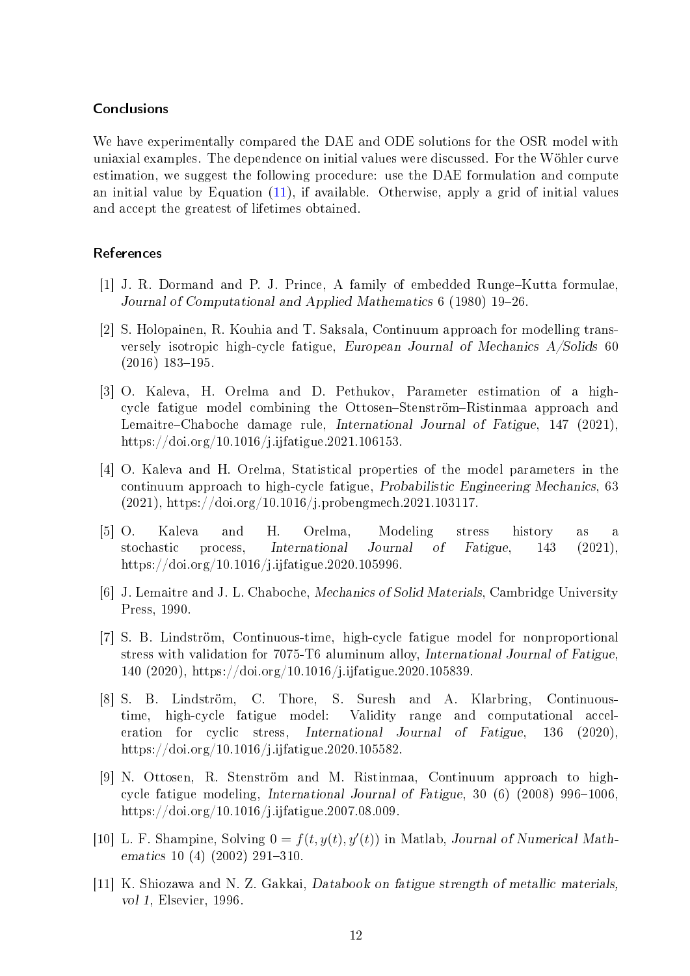# Conclusions

We have experimentally compared the DAE and ODE solutions for the OSR model with uniaxial examples. The dependence on initial values were discussed. For the Wöhler curve estimation, we suggest the following procedure: use the DAE formulation and compute an initial value by Equation [\(11\)](#page-10-0), if available. Otherwise, apply a grid of initial values and accept the greatest of lifetimes obtained.

# References

- <span id="page-11-10"></span>[1] J. R. Dormand and P. J. Prince, A family of embedded Runge-Kutta formulae, Journal of Computational and Applied Mathematics 6 (1980) 19–26.
- <span id="page-11-8"></span>[2] S. Holopainen, R. Kouhia and T. Saksala, Continuum approach for modelling transversely isotropic high-cycle fatigue, European Journal of Mechanics A/Solids 60  $(2016)$  183-195.
- <span id="page-11-2"></span>[3] O. Kaleva, H. Orelma and D. Pethukov, Parameter estimation of a highcycle fatigue model combining the Ottosen-Stenström-Ristinmaa approach and Lemaitre–Chaboche damage rule, International Journal of Fatigue, 147 (2021), https://doi.org/10.1016/j.ijfatigue.2021.106153.
- <span id="page-11-3"></span>[4] O. Kaleva and H. Orelma, Statistical properties of the model parameters in the continuum approach to high-cycle fatigue, Probabilistic Engineering Mechanics, 63 (2021), https://doi.org/10.1016/j.probengmech.2021.103117.
- <span id="page-11-4"></span>[5] O. Kaleva and H. Orelma, Modeling stress history as a stochastic process, International Journal of Fatigue, 143 (2021), https://doi.org/10.1016/j.ijfatigue.2020.105996.
- <span id="page-11-6"></span>[6] J. Lemaitre and J. L. Chaboche, Mechanics of Solid Materials, Cambridge University Press, 1990.
- <span id="page-11-5"></span>[7] S. B. Lindström, Continuous-time, high-cycle fatigue model for nonproportional stress with validation for 7075-T6 aluminum alloy, International Journal of Fatigue, 140 (2020), https://doi.org/10.1016/j.ijfatigue.2020.105839.
- <span id="page-11-1"></span>[8] S. B. Lindström, C. Thore, S. Suresh and A. Klarbring, Continuoustime, high-cycle fatigue model: Validity range and computational acceleration for cyclic stress, International Journal of Fatigue, 136 (2020), https://doi.org/10.1016/j.ijfatigue.2020.105582.
- <span id="page-11-0"></span>[9] N. Ottosen, R. Stenström and M. Ristinmaa, Continuum approach to highcycle fatigue modeling, International Journal of Fatigue,  $30(6)(2008)$  996-1006, https://doi.org/10.1016/j.ijfatigue.2007.08.009.
- <span id="page-11-7"></span>[10] L. F. Shampine, Solving  $0 = f(t, y(t), y'(t))$  in Matlab, Journal of Numerical Mathematics 10 (4) (2002) 291-310.
- <span id="page-11-9"></span>[11] K. Shiozawa and N. Z. Gakkai, Databook on fatigue strength of metallic materials, vol 1, Elsevier, 1996.